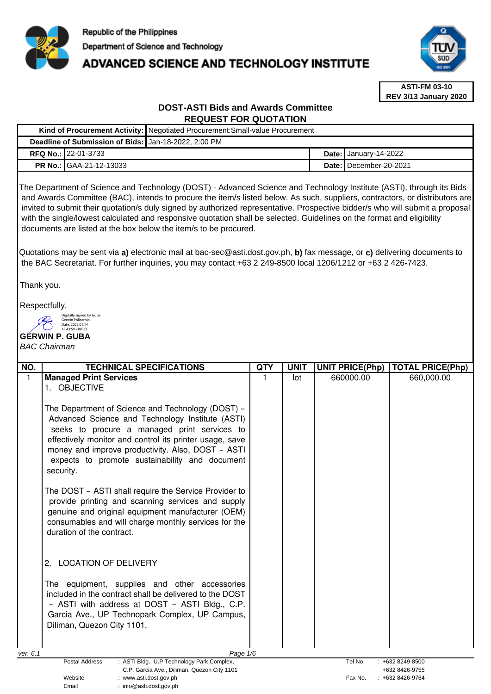

# **ADVANCED SCIENCE AND TECHNOLOGY INSTITUTE**



**ASTI-FM 03-10 REV 3/13 January 2020**

# **DOST-ASTI Bids and Awards Committee REQUEST FOR QUOTATION**

|                                                      |                                | Kind of Procurement Activity:   Negotiated Procurement: Small-value Procurement |  |                                     |  |  |
|------------------------------------------------------|--------------------------------|---------------------------------------------------------------------------------|--|-------------------------------------|--|--|
| Deadline of Submission of Bids: Jan-18-2022, 2:00 PM |                                |                                                                                 |  |                                     |  |  |
|                                                      | <b>RFQ No.: 22-01-3733</b>     |                                                                                 |  | Date: $\frac{1}{2}$ January-14-2022 |  |  |
|                                                      | <b>PR No.: GAA-21-12-13033</b> |                                                                                 |  | Date: I December-20-2021            |  |  |

The Department of Science and Technology (DOST) - Advanced Science and Technology Institute (ASTI), through its Bids and Awards Committee (BAC), intends to procure the item/s listed below. As such, suppliers, contractors, or distributors are invited to submit their quotation/s duly signed by authorized representative. Prospective bidder/s who will submit a proposal with the single/lowest calculated and responsive quotation shall be selected. Guidelines on the format and eligibility documents are listed at the box below the item/s to be procured.

Quotations may be sent via **a)** electronic mail at bac-sec@asti.dost.gov.ph, **b)** fax message, or **c)** delivering documents to the BAC Secretariat. For further inquiries, you may contact +63 2 249-8500 local 1206/1212 or +63 2 426-7423.

Thank you.

Respectfully,

Digitally signed by Guba Gerwin Policarpio

Email : info@asti.dost.gov.ph

#### **GERWIN P. GUBA**  Date: 2022.01.14 18:43:59 +08'00'

## BAC Chairman

| NO.                                         | <b>TECHNICAL SPECIFICATIONS</b>                                                 | <b>QTY</b> | <b>UNIT</b> | <b>UNIT PRICE(Php)</b> | <b>TOTAL PRICE(Php)</b> |
|---------------------------------------------|---------------------------------------------------------------------------------|------------|-------------|------------------------|-------------------------|
| $\mathbf{1}$                                | <b>Managed Print Services</b>                                                   | 1          | lot         | 660000.00              | 660,000.00              |
|                                             | 1. OBJECTIVE                                                                    |            |             |                        |                         |
|                                             |                                                                                 |            |             |                        |                         |
|                                             | The Department of Science and Technology (DOST) -                               |            |             |                        |                         |
|                                             | Advanced Science and Technology Institute (ASTI)                                |            |             |                        |                         |
|                                             | seeks to procure a managed print services to                                    |            |             |                        |                         |
|                                             | effectively monitor and control its printer usage, save                         |            |             |                        |                         |
|                                             | money and improve productivity. Also, DOST - ASTI                               |            |             |                        |                         |
|                                             | expects to promote sustainability and document                                  |            |             |                        |                         |
|                                             | security.                                                                       |            |             |                        |                         |
|                                             | The DOST - ASTI shall require the Service Provider to                           |            |             |                        |                         |
|                                             | provide printing and scanning services and supply                               |            |             |                        |                         |
|                                             | genuine and original equipment manufacturer (OEM)                               |            |             |                        |                         |
|                                             | consumables and will charge monthly services for the                            |            |             |                        |                         |
|                                             | duration of the contract.                                                       |            |             |                        |                         |
|                                             |                                                                                 |            |             |                        |                         |
|                                             |                                                                                 |            |             |                        |                         |
|                                             | <b>LOCATION OF DELIVERY</b><br>2.                                               |            |             |                        |                         |
|                                             | The equipment, supplies and other accessories                                   |            |             |                        |                         |
|                                             | included in the contract shall be delivered to the DOST                         |            |             |                        |                         |
|                                             | - ASTI with address at DOST - ASTI Bldg., C.P.                                  |            |             |                        |                         |
|                                             | Garcia Ave., UP Technopark Complex, UP Campus,                                  |            |             |                        |                         |
|                                             | Diliman, Quezon City 1101.                                                      |            |             |                        |                         |
|                                             |                                                                                 |            |             |                        |                         |
|                                             |                                                                                 |            |             |                        |                         |
| ver. 6.1                                    | Page 1/6<br><b>Postal Address</b><br>: ASTI Bldg., U.P Technology Park Complex, |            |             | Tel No.                | $: +6328249 - 8500$     |
| C.P. Garcia Ave., Diliman, Quezon City 1101 |                                                                                 |            |             |                        | +632 8426-9755          |
| Website<br>: www.asti.dost.gov.ph           |                                                                                 |            |             | Fax No.                | +632 8426-9764          |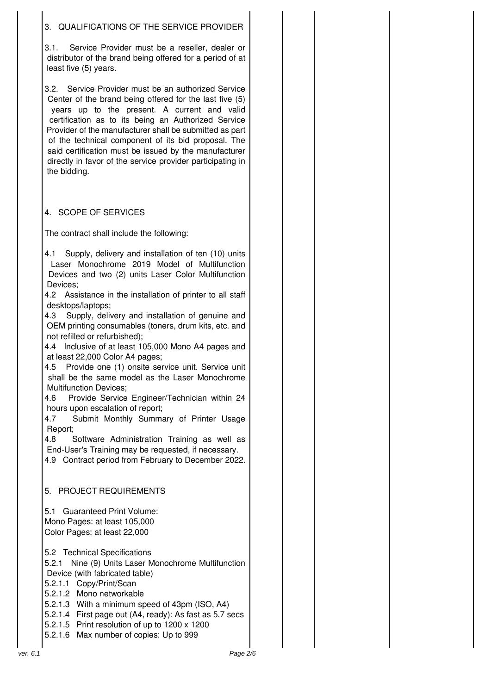# 3. QUALIFICATIONS OF THE SERVICE PROVIDER

3.1. Service Provider must be a reseller, dealer or distributor of the brand being offered for a period of at least five (5) years.

3.2. Service Provider must be an authorized Service Center of the brand being offered for the last five (5) years up to the present. A current and valid certification as to its being an Authorized Service Provider of the manufacturer shall be submitted as part of the technical component of its bid proposal. The said certification must be issued by the manufacturer directly in favor of the service provider participating in the bidding.

# 4. SCOPE OF SERVICES

The contract shall include the following:

4.1 Supply, delivery and installation of ten (10) units Laser Monochrome 2019 Model of Multifunction Devices and two (2) units Laser Color Multifunction Devices;

4.2 Assistance in the installation of printer to all staff desktops/laptops;

4.3 Supply, delivery and installation of genuine and OEM printing consumables (toners, drum kits, etc. and not refilled or refurbished);

4.4 Inclusive of at least 105,000 Mono A4 pages and at least 22,000 Color A4 pages;

4.5 Provide one (1) onsite service unit. Service unit shall be the same model as the Laser Monochrome Multifunction Devices;

4.6 Provide Service Engineer/Technician within 24 hours upon escalation of report;

4.7 Submit Monthly Summary of Printer Usage Report;

4.8 Software Administration Training as well as End-User's Training may be requested, if necessary. 4.9 Contract period from February to December 2022.

5. PROJECT REQUIREMENTS

5.1 Guaranteed Print Volume: Mono Pages: at least 105,000 Color Pages: at least 22,000

5.2 Technical Specifications

5.2.1 Nine (9) Units Laser Monochrome Multifunction Device (with fabricated table)

5.2.1.1 Copy/Print/Scan

5.2.1.2 Mono networkable

5.2.1.3 With a minimum speed of 43pm (ISO, A4)

5.2.1.4 First page out (A4, ready): As fast as 5.7 secs

5.2.1.5 Print resolution of up to 1200 x 1200

5.2.1.6 Max number of copies: Up to 999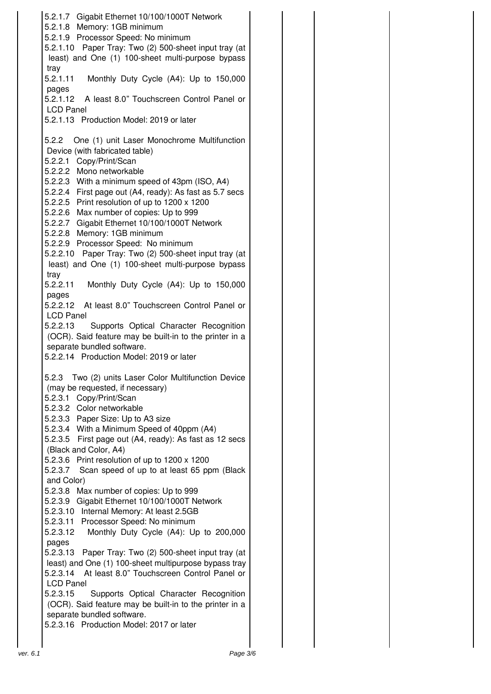5.2.1.7 Gigabit Ethernet 10/100/1000T Network 5.2.1.8 Memory: 1GB minimum 5.2.1.9 Processor Speed: No minimum 5.2.1.10 Paper Tray: Two (2) 500-sheet input tray (at least) and One (1) 100-sheet multi-purpose bypass tray 5.2.1.11 Monthly Duty Cycle (A4): Up to 150,000 pages 5.2.1.12 A least 8.0" Touchscreen Control Panel or LCD Panel 5.2.1.13 Production Model: 2019 or later 5.2.2 One (1) unit Laser Monochrome Multifunction Device (with fabricated table) 5.2.2.1 Copy/Print/Scan 5.2.2.2 Mono networkable 5.2.2.3 With a minimum speed of 43pm (ISO, A4) 5.2.2.4 First page out (A4, ready): As fast as 5.7 secs 5.2.2.5 Print resolution of up to 1200 x 1200 5.2.2.6 Max number of copies: Up to 999 5.2.2.7 Gigabit Ethernet 10/100/1000T Network 5.2.2.8 Memory: 1GB minimum 5.2.2.9 Processor Speed: No minimum 5.2.2.10 Paper Tray: Two (2) 500-sheet input tray (at least) and One (1) 100-sheet multi-purpose bypass tray 5.2.2.11 Monthly Duty Cycle (A4): Up to 150,000 pages 5.2.2.12 At least 8.0" Touchscreen Control Panel or LCD Panel 5.2.2.13 Supports Optical Character Recognition (OCR). Said feature may be built-in to the printer in a separate bundled software. 5.2.2.14 Production Model: 2019 or later 5.2.3 Two (2) units Laser Color Multifunction Device (may be requested, if necessary) 5.2.3.1 Copy/Print/Scan 5.2.3.2 Color networkable 5.2.3.3 Paper Size: Up to A3 size 5.2.3.4 With a Minimum Speed of 40ppm (A4) 5.2.3.5 First page out (A4, ready): As fast as 12 secs (Black and Color, A4) 5.2.3.6 Print resolution of up to 1200 x 1200 5.2.3.7 Scan speed of up to at least 65 ppm (Black and Color) 5.2.3.8 Max number of copies: Up to 999 5.2.3.9 Gigabit Ethernet 10/100/1000T Network 5.2.3.10 Internal Memory: At least 2.5GB 5.2.3.11 Processor Speed: No minimum 5.2.3.12 Monthly Duty Cycle (A4): Up to 200,000 pages 5.2.3.13 Paper Tray: Two (2) 500-sheet input tray (at least) and One (1) 100-sheet multipurpose bypass tray 5.2.3.14 At least 8.0" Touchscreen Control Panel or LCD Panel 5.2.3.15 Supports Optical Character Recognition (OCR). Said feature may be built-in to the printer in a separate bundled software. 5.2.3.16 Production Model: 2017 or later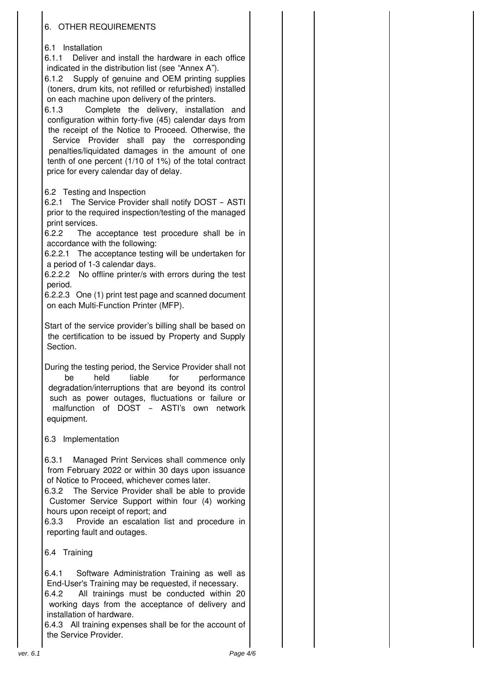# 6. OTHER REQUIREMENTS

## 6.1 Installation

6.1.1 Deliver and install the hardware in each office indicated in the distribution list (see "Annex A").

6.1.2 Supply of genuine and OEM printing supplies (toners, drum kits, not refilled or refurbished) installed on each machine upon delivery of the printers.

6.1.3 Complete the delivery, installation and configuration within forty-five (45) calendar days from the receipt of the Notice to Proceed. Otherwise, the

Service Provider shall pay the corresponding penalties/liquidated damages in the amount of one tenth of one percent (1/10 of 1%) of the total contract price for every calendar day of delay.

## 6.2 Testing and Inspection

6.2.1 The Service Provider shall notify DOST – ASTI prior to the required inspection/testing of the managed print services.

6.2.2 The acceptance test procedure shall be in accordance with the following:

6.2.2.1 The acceptance testing will be undertaken for a period of 1-3 calendar days.

6.2.2.2 No offline printer/s with errors during the test period.

6.2.2.3 One (1) print test page and scanned document on each Multi-Function Printer (MFP).

Start of the service provider's billing shall be based on the certification to be issued by Property and Supply Section.

During the testing period, the Service Provider shall not be held liable for performance degradation/interruptions that are beyond its control such as power outages, fluctuations or failure or malfunction of DOST – ASTI's own network equipment.

## 6.3 Implementation

6.3.1 Managed Print Services shall commence only from February 2022 or within 30 days upon issuance of Notice to Proceed, whichever comes later.

6.3.2 The Service Provider shall be able to provide Customer Service Support within four (4) working hours upon receipt of report; and

6.3.3 Provide an escalation list and procedure in reporting fault and outages.

6.4 Training

6.4.1 Software Administration Training as well as End-User's Training may be requested, if necessary.

6.4.2 All trainings must be conducted within 20 working days from the acceptance of delivery and installation of hardware.

6.4.3 All training expenses shall be for the account of the Service Provider.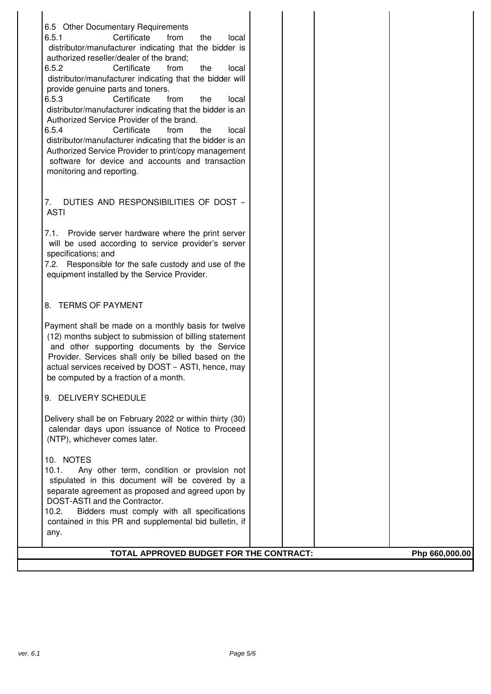|    | 6.5 Other Documentary Requirements                                                                     |  |                |
|----|--------------------------------------------------------------------------------------------------------|--|----------------|
|    | Certificate<br>6.5.1<br>from<br>the<br>local                                                           |  |                |
|    | distributor/manufacturer indicating that the bidder is                                                 |  |                |
|    | authorized reseller/dealer of the brand;                                                               |  |                |
|    | 6.5.2<br>Certificate<br>the<br>from<br>local                                                           |  |                |
|    | distributor/manufacturer indicating that the bidder will                                               |  |                |
|    | provide genuine parts and toners.                                                                      |  |                |
|    | 6.5.3<br>Certificate<br>from<br>the<br>local                                                           |  |                |
|    | distributor/manufacturer indicating that the bidder is an<br>Authorized Service Provider of the brand. |  |                |
|    | 6.5.4<br>Certificate<br>from<br>the<br>local                                                           |  |                |
|    | distributor/manufacturer indicating that the bidder is an                                              |  |                |
|    | Authorized Service Provider to print/copy management                                                   |  |                |
|    | software for device and accounts and transaction                                                       |  |                |
|    | monitoring and reporting.                                                                              |  |                |
|    |                                                                                                        |  |                |
|    |                                                                                                        |  |                |
| 7. | DUTIES AND RESPONSIBILITIES OF DOST -<br><b>ASTI</b>                                                   |  |                |
|    |                                                                                                        |  |                |
|    | 7.1. Provide server hardware where the print server                                                    |  |                |
|    | will be used according to service provider's server                                                    |  |                |
|    | specifications; and                                                                                    |  |                |
|    | 7.2. Responsible for the safe custody and use of the                                                   |  |                |
|    | equipment installed by the Service Provider.                                                           |  |                |
|    |                                                                                                        |  |                |
|    | 8. TERMS OF PAYMENT                                                                                    |  |                |
|    |                                                                                                        |  |                |
|    | Payment shall be made on a monthly basis for twelve                                                    |  |                |
|    | (12) months subject to submission of billing statement                                                 |  |                |
|    | and other supporting documents by the Service                                                          |  |                |
|    | Provider. Services shall only be billed based on the                                                   |  |                |
|    | actual services received by DOST - ASTI, hence, may                                                    |  |                |
|    | be computed by a fraction of a month.                                                                  |  |                |
|    | 9. DELIVERY SCHEDULE                                                                                   |  |                |
|    |                                                                                                        |  |                |
|    | Delivery shall be on February 2022 or within thirty (30)                                               |  |                |
|    | calendar days upon issuance of Notice to Proceed                                                       |  |                |
|    | (NTP), whichever comes later.                                                                          |  |                |
|    | 10. NOTES                                                                                              |  |                |
|    | 10.1.<br>Any other term, condition or provision not                                                    |  |                |
|    | stipulated in this document will be covered by a                                                       |  |                |
|    | separate agreement as proposed and agreed upon by                                                      |  |                |
|    | DOST-ASTI and the Contractor.                                                                          |  |                |
|    | Bidders must comply with all specifications<br>10.2.                                                   |  |                |
|    | contained in this PR and supplemental bid bulletin, if                                                 |  |                |
|    | any.                                                                                                   |  |                |
|    | TOTAL APPROVED BUDGET FOR THE CONTRACT:                                                                |  | Php 660,000.00 |
|    |                                                                                                        |  |                |

H